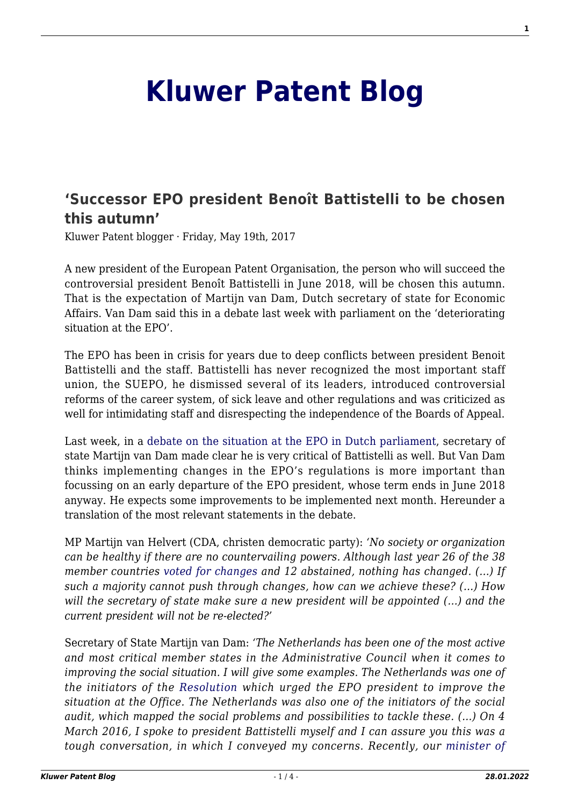## **[Kluwer Patent Blog](http://patentblog.kluweriplaw.com/)**

## **['Successor EPO president Benoît Battistelli to be chosen](http://patentblog.kluweriplaw.com/2017/05/19/successor-epo-president-benoit-battistelli-chosen-autumn/) [this autumn'](http://patentblog.kluweriplaw.com/2017/05/19/successor-epo-president-benoit-battistelli-chosen-autumn/)**

Kluwer Patent blogger · Friday, May 19th, 2017

A new president of the European Patent Organisation, the person who will succeed the controversial president Benoît Battistelli in June 2018, will be chosen this autumn. That is the expectation of Martijn van Dam, Dutch secretary of state for Economic Affairs. Van Dam said this in a debate last week with parliament on the 'deteriorating situation at the EPO'.

The EPO has been in crisis for years due to deep conflicts between president Benoit Battistelli and the staff. Battistelli has never recognized the most important staff union, the SUEPO, he dismissed several of its leaders, introduced controversial reforms of the career system, of sick leave and other regulations and was criticized as well for intimidating staff and disrespecting the independence of the Boards of Appeal.

Last week, in a [debate on the situation at the EPO in Dutch parliament,](https://www.tweedekamer.nl/kamerstukken/detail?id=2017D12650&did=2017D12650) secretary of state Martijn van Dam made clear he is very critical of Battistelli as well. But Van Dam thinks implementing changes in the EPO's regulations is more important than focussing on an early departure of the EPO president, whose term ends in June 2018 anyway. He expects some improvements to be implemented next month. Hereunder a translation of the most relevant statements in the debate.

MP Martijn van Helvert (CDA, christen democratic party): *'No society or organization can be healthy if there are no countervailing powers. Although last year 26 of the 38 member countries [voted for changes](http://kluwerpatentblog.com/2016/03/18/supervisory-board-european-patent-office-votes-for-reforms-increasing-the-pressure-on-president-benoit-battistelli/) and 12 abstained, nothing has changed. (…) If such a majority cannot push through changes, how can we achieve these? (…) How will the secretary of state make sure a new president will be appointed (…) and the current president will not be re-elected?'*

Secretary of State Martijn van Dam: *'The Netherlands has been one of the most active and most critical member states in the Administrative Council when it comes to improving the social situation. I will give some examples. The Netherlands was one of the initiators of the [Resolution](http://www.epo.org/about-us/organisation/communiques/2016.html#a23) which urged the EPO president to improve the situation at the Office. The Netherlands was also one of the initiators of the social audit, which mapped the social problems and possibilities to tackle these. (…) On 4 March 2016, I spoke to president Battistelli myself and I can assure you this was a tough conversation, in which I conveyed my concerns. Recently, our [minister of](http://kluwerpatentblog.com/2017/03/21/president-battistelli-pressure-improve-unacceptable-social-situation-epo/)*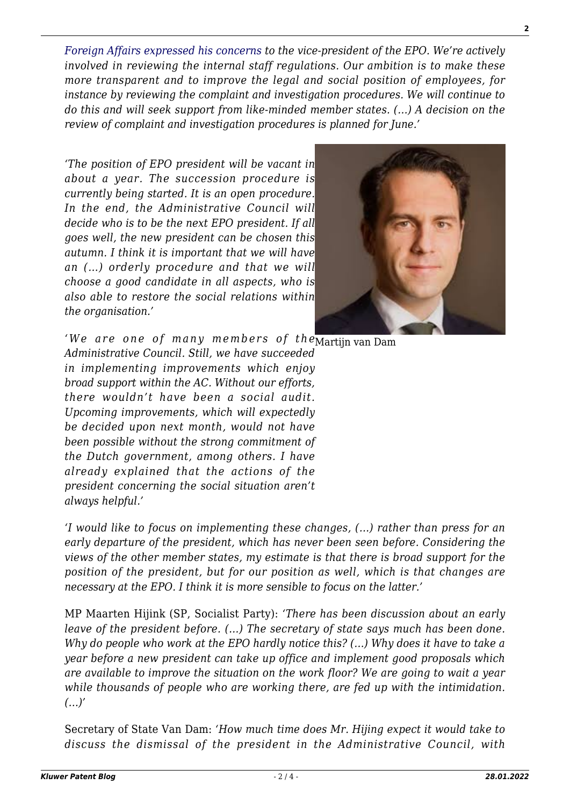*[Foreign Affairs expressed his concerns](http://kluwerpatentblog.com/2017/03/21/president-battistelli-pressure-improve-unacceptable-social-situation-epo/) to the vice-president of the EPO. We're actively involved in reviewing the internal staff regulations. Our ambition is to make these more transparent and to improve the legal and social position of employees, for instance by reviewing the complaint and investigation procedures. We will continue to do this and will seek support from like-minded member states. (…) A decision on the review of complaint and investigation procedures is planned for June.'*

*'The position of EPO president will be vacant in about a year. The succession procedure is currently being started. It is an open procedure. In the end, the Administrative Council will decide who is to be the next EPO president. If al[l](http://patentblog.kluweriplaw.com/wp-content/uploads/sites/52/2017/05/Martijn-van-Dam.jpeg) goes well, the new president can be chosen this autumn. I think it is important that we will have an (…) orderly procedure and that we will choose a good candidate in all aspects, who is also able to restore the social relations within the organisation.'*



*'We are one of many members of the* $\overline{\text{Martijn van Dam}}$ *Administrative Council. Still, we have succeeded in implementing improvements which enjoy broad support within the AC. Without our efforts, there wouldn't have been a social audit. Upcoming improvements, which will expectedly be decided upon next month, would not have been possible without the strong commitment of the Dutch government, among others. I have already explained that the actions of the president concerning the social situation aren't always helpful.'*

*'I would like to focus on implementing these changes, (…) rather than press for an early departure of the president, which has never been seen before. Considering the views of the other member states, my estimate is that there is broad support for the position of the president, but for our position as well, which is that changes are necessary at the EPO. I think it is more sensible to focus on the latter.'*

MP Maarten Hijink (SP, Socialist Party): *'There has been discussion about an early leave of the president before. (…) The secretary of state says much has been done. Why do people who work at the EPO hardly notice this? (…) Why does it have to take a year before a new president can take up office and implement good proposals which are available to improve the situation on the work floor? We are going to wait a year while thousands of people who are working there, are fed up with the intimidation. (…)'*

Secretary of State Van Dam: *'How much time does Mr. Hijing expect it would take to discuss the dismissal of the president in the Administrative Council, with*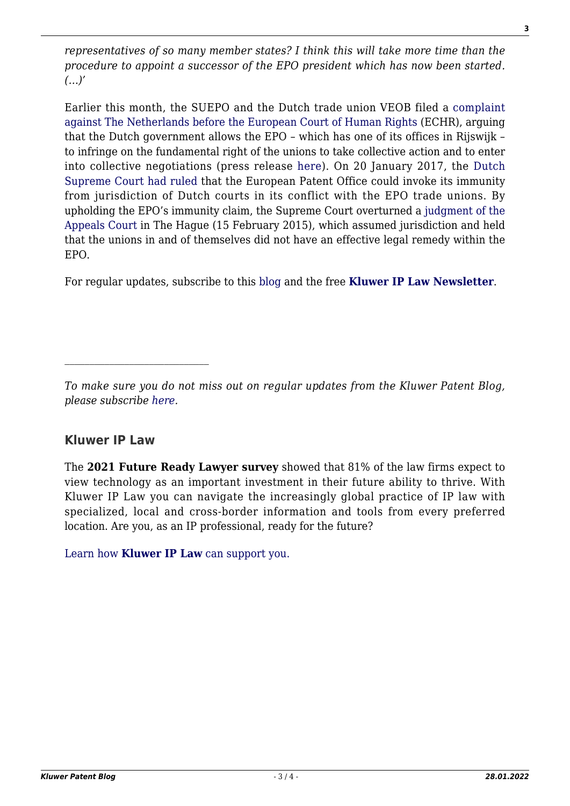*representatives of so many member states? I think this will take more time than the procedure to appoint a successor of the EPO president which has now been started. (…)'*

Earlier this month, the SUEPO and the Dutch trade union VEOB filed a [complaint](http://kluwerpatentblog.com/2017/05/09/epo-trade-union-files-complaint-against-the-netherlands-before-european-court-of-human-rights/) [against The Netherlands before the European Court of Human Rights](http://kluwerpatentblog.com/2017/05/09/epo-trade-union-files-complaint-against-the-netherlands-before-european-court-of-human-rights/) (ECHR), arguing that the Dutch government allows the EPO – which has one of its offices in Rijswijk – to infringe on the fundamental right of the unions to take collective action and to enter into collective negotiations (press release [here](http://www.unionsyndicale.eu/wp-content/uploads/2017/05/170509-Press-Release-SUEPO-VEOB-ECHR.pdf)). On 20 January 2017, the [Dutch](http://kluwerpatentblog.com/2017/01/20/dutch-high-court-upholds-immunity-european-patent-organization-in-conflict-with-trade-unions/) [Supreme Court had ruled](http://kluwerpatentblog.com/2017/01/20/dutch-high-court-upholds-immunity-european-patent-organization-in-conflict-with-trade-unions/) that the European Patent Office could invoke its immunity from jurisdiction of Dutch courts in its conflict with the EPO trade unions. By upholding the EPO's immunity claim, the Supreme Court overturned a [judgment of the](https://uitspraken.rechtspraak.nl/inziendocument?id=ECLI:NL:GHDHA:2015:255) [Appeals Court](https://uitspraken.rechtspraak.nl/inziendocument?id=ECLI:NL:GHDHA:2015:255) in The Hague (15 February 2015), which assumed jurisdiction and held that the unions in and of themselves did not have an effective legal remedy within the EPO.

For regular updates, subscribe to this [blog](http://kluwerpatentblog.com/newsletter/?email=&mailing_list_widget_submit=Subscribe) and the free **[Kluwer IP Law Newsletter](http://genons.kluwerlawonline.com/public/subscription/KIPL/subscribe/?_ga=1.119291072.835536738.1418219570)**.

## **Kluwer IP Law**

The **2021 Future Ready Lawyer survey** showed that 81% of the law firms expect to view technology as an important investment in their future ability to thrive. With Kluwer IP Law you can navigate the increasingly global practice of IP law with specialized, local and cross-border information and tools from every preferred location. Are you, as an IP professional, ready for the future?

[Learn how](https://www.wolterskluwer.com/en/solutions/kluweriplaw?utm_source=patentblog&utm_medium=articleCTA&utm_campaign=article-banner) **[Kluwer IP Law](https://www.wolterskluwer.com/en/solutions/kluweriplaw?utm_source=patentblog&utm_medium=articleCTA&utm_campaign=article-banner)** [can support you.](https://www.wolterskluwer.com/en/solutions/kluweriplaw?utm_source=patentblog&utm_medium=articleCTA&utm_campaign=article-banner)

*To make sure you do not miss out on regular updates from the Kluwer Patent Blog, please subscribe [here.](http://patentblog.kluweriplaw.com/newsletter)*